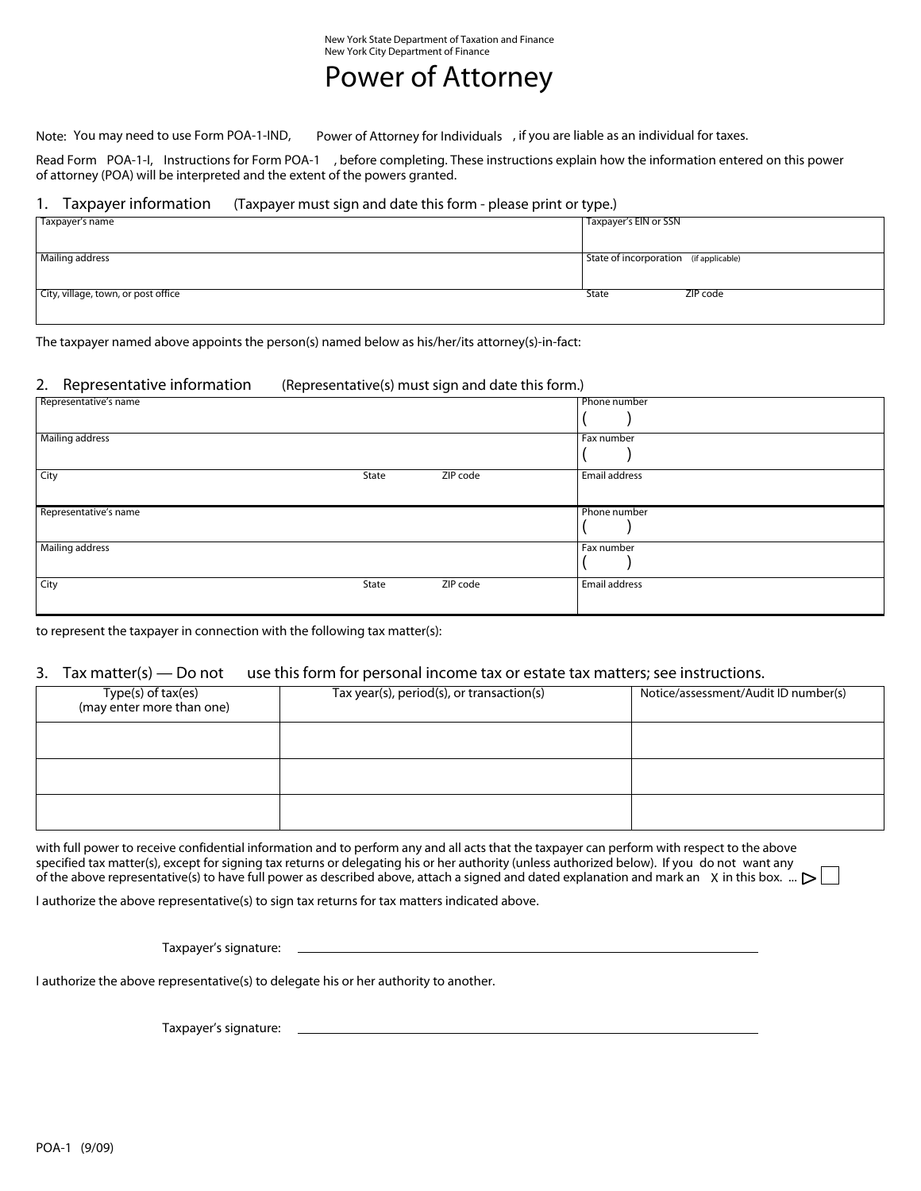## Power of Attorney

Note: You may need to use Form POA-1-IND, Power of Attorney for Individuals , if you are liable as an individual for taxes.

Read Form POA-1-I, Instructions for Form POA-1 , before completing. These instructions explain how the information entered on this power of attorney (POA) will be interpreted and the extent of the powers granted.

#### 1. Taxpayer information (Taxpayer must sign and date this form - please print or type.)

| Taxpayer's name                     | Taxpayer's EIN or SSN                  |
|-------------------------------------|----------------------------------------|
|                                     |                                        |
|                                     |                                        |
| Mailing address                     | State of incorporation (if applicable) |
|                                     |                                        |
| City, village, town, or post office | ZIP code<br>State                      |
|                                     |                                        |

The taxpayer named above appoints the person(s) named below as his/her/its attorney(s)-in-fact:

#### 2. Representative information (Representative(s) must sign and date this form.)

| Representative's name |       |          | Phone number  |
|-----------------------|-------|----------|---------------|
|                       |       |          |               |
| Mailing address       |       |          | Fax number    |
|                       |       |          |               |
| City                  | State | ZIP code | Email address |
|                       |       |          |               |
|                       |       |          |               |
| Representative's name |       |          | Phone number  |
|                       |       |          |               |
| Mailing address       |       |          | Fax number    |
|                       |       |          |               |
| City                  | State | ZIP code | Email address |
|                       |       |          |               |

to represent the taxpayer in connection with the following tax matter(s):

#### 3. Tax matter(s) — Do not use this form for personal income tax or estate tax matters; see instructions.

| Type(s) of tax(es)<br>(may enter more than one) | Tax year(s), period(s), or transaction(s) | Notice/assessment/Audit ID number(s) |
|-------------------------------------------------|-------------------------------------------|--------------------------------------|
|                                                 |                                           |                                      |
|                                                 |                                           |                                      |
|                                                 |                                           |                                      |

with full power to receive confidential information and to perform any and all acts that the taxpayer can perform with respect to the above specified tax matter(s), except for signing tax returns or delegating his or her authority (unless authorized below). If you do not want any of the above representative(s) to have full power as described above, attach a signed and dated explanation and mark an X in this box.  $\therefore$   $\triangleright$ 

I authorize the above representative(s) to sign tax returns for tax matters indicated above.

Taxpayer's signature:

I authorize the above representative(s) to delegate his or her authority to another.

Taxpayer's signature: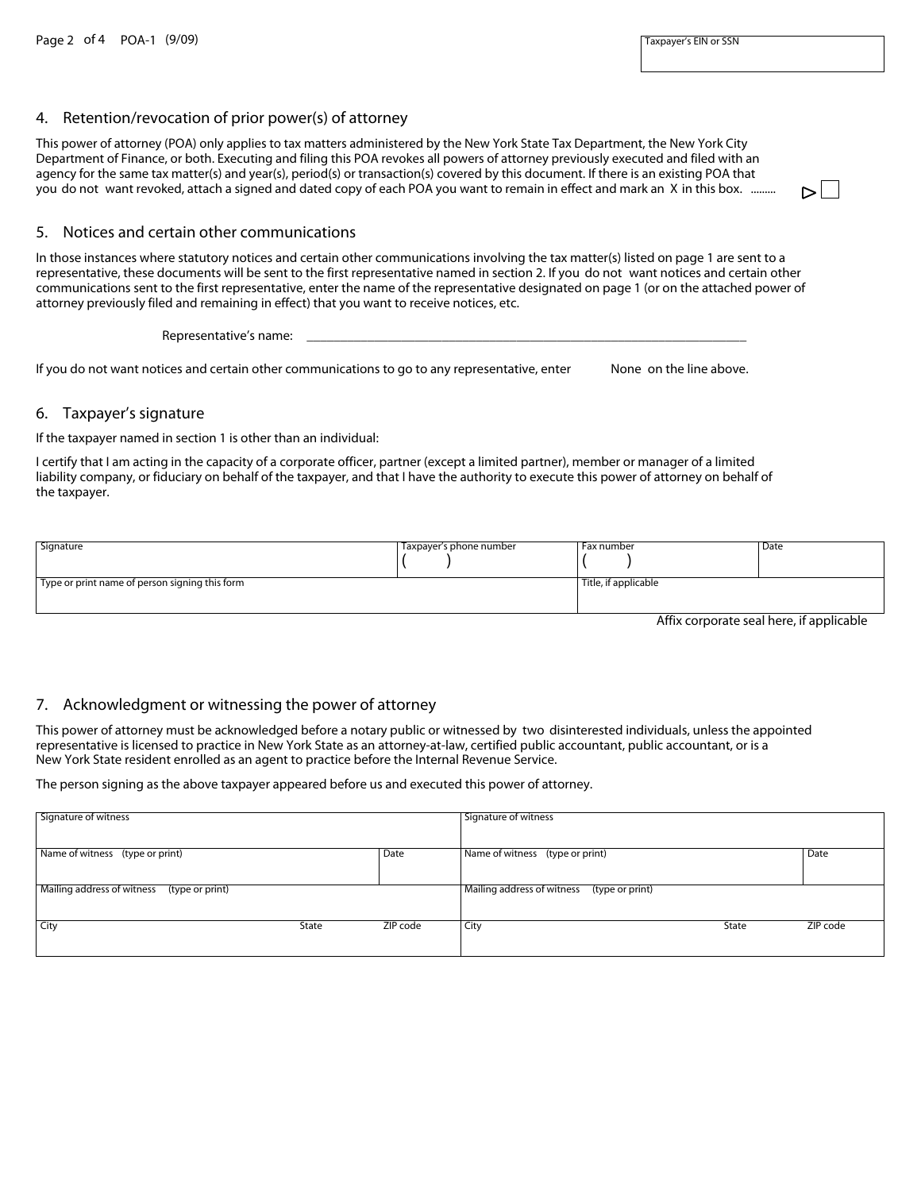#### 4. Retention/revocation of prior power(s) of attorney

This power of attorney (POA) only applies to tax matters administered by the New York State Tax Department, the New York City Department of Finance, or both. Executing and filing this POA revokes all powers of attorney previously executed and filed with an agency for the same tax matter(s) and year(s), period(s) or transaction(s) covered by this document. If there is an existing POA that you do not want revoked, attach a signed and dated copy of each POA you want to remain in effect and mark an X in this box. ..........

## 5. Notices and certain other communications

In those instances where statutory notices and certain other communications involving the tax matter(s) listed on page 1 are sent to a representative, these documents will be sent to the first representative named in section 2. If you do not want notices and certain other communications sent to the first representative, enter the name of the representative designated on page 1 (or on the attached power of attorney previously filed and remaining in effect) that you want to receive notices, etc.

Representative's name:

If you do not want notices and certain other communications to go to any representative, enter None on the line above.

#### 6. Taxpayer's signature

If the taxpayer named in section 1 is other than an individual:

I certify that I am acting in the capacity of a corporate officer, partner (except a limited partner), member or manager of a limited liability company, or fiduciary on behalf of the taxpayer, and that I have the authority to execute this power of attorney on behalf of the taxpayer.

| Signature                                                   | Taxpayer's phone number | Fax number           | Date |
|-------------------------------------------------------------|-------------------------|----------------------|------|
|                                                             |                         |                      |      |
|                                                             |                         |                      |      |
| <sup>1</sup> Type or print name of person signing this form |                         | Title, if applicable |      |
|                                                             |                         |                      |      |
|                                                             |                         |                      |      |

Affix corporate seal here, if applicable

 $\triangleright$ l

#### 7. Acknowledgment or witnessing the power of attorney

This power of attorney must be acknowledged before a notary public or witnessed by two disinterested individuals, unless the appointed representative is licensed to practice in New York State as an attorney-at-law, certified public accountant, public accountant, or is a New York State resident enrolled as an agent to practice before the Internal Revenue Service.

The person signing as the above taxpayer appeared before us and executed this power of attorney.

| Signature of witness                       |       |          | Signature of witness                       |       |          |
|--------------------------------------------|-------|----------|--------------------------------------------|-------|----------|
| Name of witness (type or print)            |       | Date     | Name of witness (type or print)            |       | Date     |
| Mailing address of witness (type or print) |       |          | Mailing address of witness (type or print) |       |          |
| City                                       | State | ZIP code | City                                       | State | ZIP code |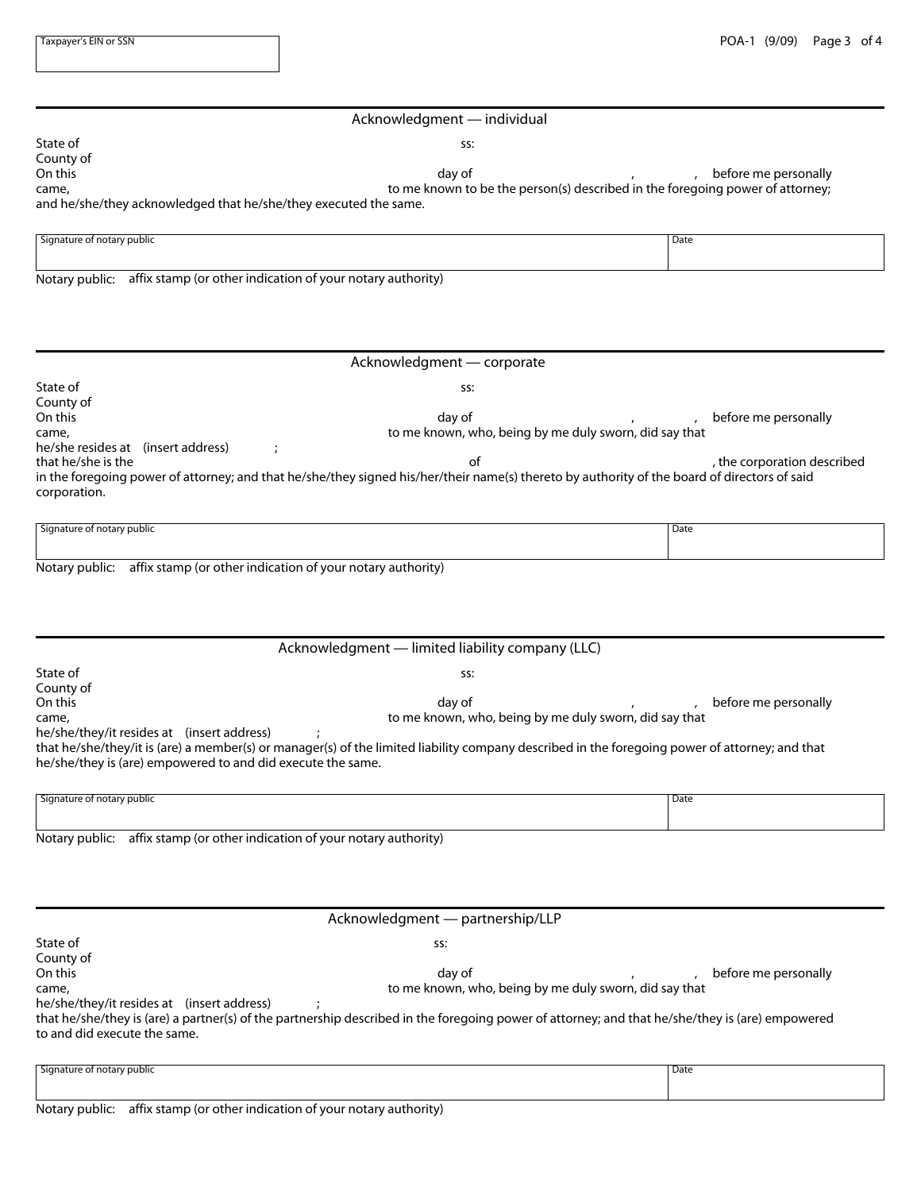|                            | Acknowledgment - individual                                                   |                      |
|----------------------------|-------------------------------------------------------------------------------|----------------------|
| State of                   | SS:                                                                           |                      |
| County of                  |                                                                               |                      |
| On this                    | day of                                                                        | before me personally |
| came,                      | to me known to be the person(s) described in the foregoing power of attorney; |                      |
|                            | and he/she/they acknowledged that he/she/they executed the same.              |                      |
|                            |                                                                               |                      |
| Signature of notary public |                                                                               | Date                 |
|                            |                                                                               |                      |
|                            |                                                                               |                      |
|                            | Notary public: affix stamp (or other indication of your notary authority)     |                      |
|                            |                                                                               |                      |
|                            |                                                                               |                      |
|                            |                                                                               |                      |
|                            |                                                                               |                      |
|                            | Acknowledgment - corporate                                                    |                      |
| State of                   | SS:                                                                           |                      |

| County of                          |                                                                                                                                              |                             |
|------------------------------------|----------------------------------------------------------------------------------------------------------------------------------------------|-----------------------------|
| On this                            | dav of                                                                                                                                       | before me personally        |
| came,                              | to me known, who, being by me duly sworn, did say that                                                                                       |                             |
| he/she resides at (insert address) |                                                                                                                                              |                             |
| that he/she is the                 | ot                                                                                                                                           | , the corporation described |
|                                    | in the foregoing power of attorney; and that he/she/they signed his/her/their name(s) thereto by authority of the board of directors of said |                             |
| corporation.                       |                                                                                                                                              |                             |
|                                    |                                                                                                                                              |                             |

| $\overline{\phantom{a}}$<br>Signature of notary public<br>.                             | Date |
|-----------------------------------------------------------------------------------------|------|
|                                                                                         |      |
|                                                                                         |      |
| <br>. .<br>Notan couplier<br>offiv stamp (or other indication of your petany authority) |      |

| Notary public: affix stamp (or other indication of your notary authority) |  |
|---------------------------------------------------------------------------|--|
|                                                                           |  |

|                                                             | Acknowledgment - limited liability company (LLC)                                                                                               |                      |
|-------------------------------------------------------------|------------------------------------------------------------------------------------------------------------------------------------------------|----------------------|
| State of                                                    | SS:                                                                                                                                            |                      |
| County of                                                   |                                                                                                                                                |                      |
| On this                                                     | day of                                                                                                                                         | before me personally |
| came,                                                       | to me known, who, being by me duly sworn, did say that                                                                                         |                      |
| he/she/they/it resides at (insert address)                  |                                                                                                                                                |                      |
| he/she/they is (are) empowered to and did execute the same. | that he/she/they/it is (are) a member(s) or manager(s) of the limited liability company described in the foregoing power of attorney; and that |                      |
|                                                             |                                                                                                                                                |                      |
| Signature of notary public                                  |                                                                                                                                                | I Date               |

| Date<br>. |
|-----------|
|           |
|           |
|           |

Notary public: affix stamp (or other indication of your notary authority)

| SS:<br>dav of<br>to me known, who, being by me duly sworn, did say that                                                                                                                                                                                                    | Acknowledgment — partnership/LLP |                      |  |
|----------------------------------------------------------------------------------------------------------------------------------------------------------------------------------------------------------------------------------------------------------------------------|----------------------------------|----------------------|--|
| State of<br>County of<br>On this<br>came,<br>he/she/they/it resides at (insert address)<br>that he/she/they is (are) a partner(s) of the partnership described in the foregoing power of attorney; and that he/she/they is (are) empowered<br>to and did execute the same. |                                  |                      |  |
|                                                                                                                                                                                                                                                                            |                                  |                      |  |
|                                                                                                                                                                                                                                                                            |                                  |                      |  |
|                                                                                                                                                                                                                                                                            |                                  | before me personally |  |
|                                                                                                                                                                                                                                                                            |                                  |                      |  |
|                                                                                                                                                                                                                                                                            |                                  |                      |  |
|                                                                                                                                                                                                                                                                            |                                  |                      |  |
|                                                                                                                                                                                                                                                                            |                                  |                      |  |
|                                                                                                                                                                                                                                                                            |                                  |                      |  |
| Signature of notary public<br>Date                                                                                                                                                                                                                                         |                                  |                      |  |

| $\overline{\phantom{a}}$<br>Signature of notary public | Date |
|--------------------------------------------------------|------|
|                                                        |      |
|                                                        |      |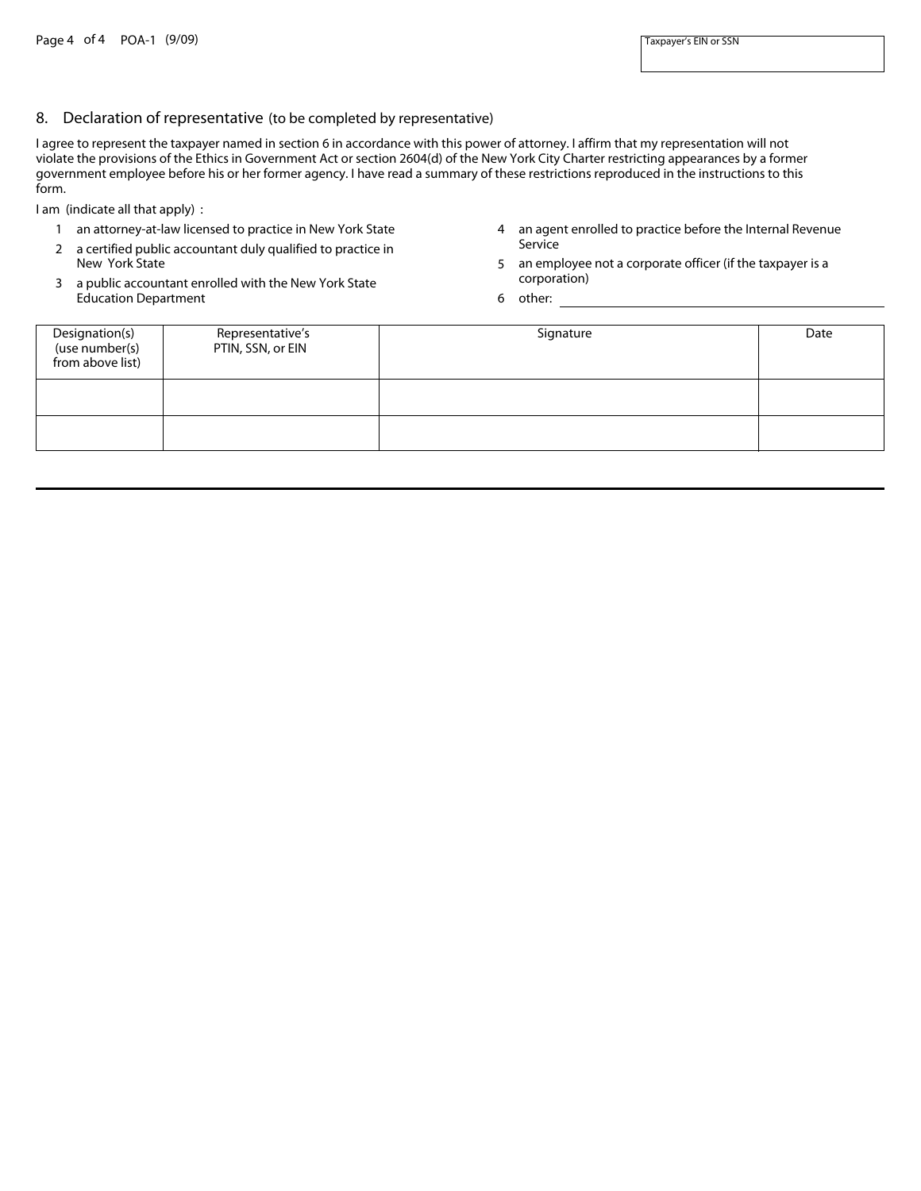#### 8. Declaration of representative (to be completed by representative)

I agree to represent the taxpayer named in section 6 in accordance with this power of attorney. I affirm that my representation will not violate the provisions of the Ethics in Government Act or section 2604(d) of the New York City Charter restricting appearances by a former government employee before his or her former agency. I have read a summary of these restrictions reproduced in the instructions to this form.

I am (indicate all that apply) :

- 1 an attorney-at-law licensed to practice in New York State
- 2 a certified public accountant duly qualified to practice in New York State
- 3 a public accountant enrolled with the New York State Education Department
- 4 an agent enrolled to practice before the Internal Revenue Service
- 5 an employee not a corporate officer (if the taxpayer is a corporation)
- 6 other:

| Designation(s)<br>(use number(s)<br>from above list) | Representative's<br>PTIN, SSN, or EIN | Signature | Date |
|------------------------------------------------------|---------------------------------------|-----------|------|
|                                                      |                                       |           |      |
|                                                      |                                       |           |      |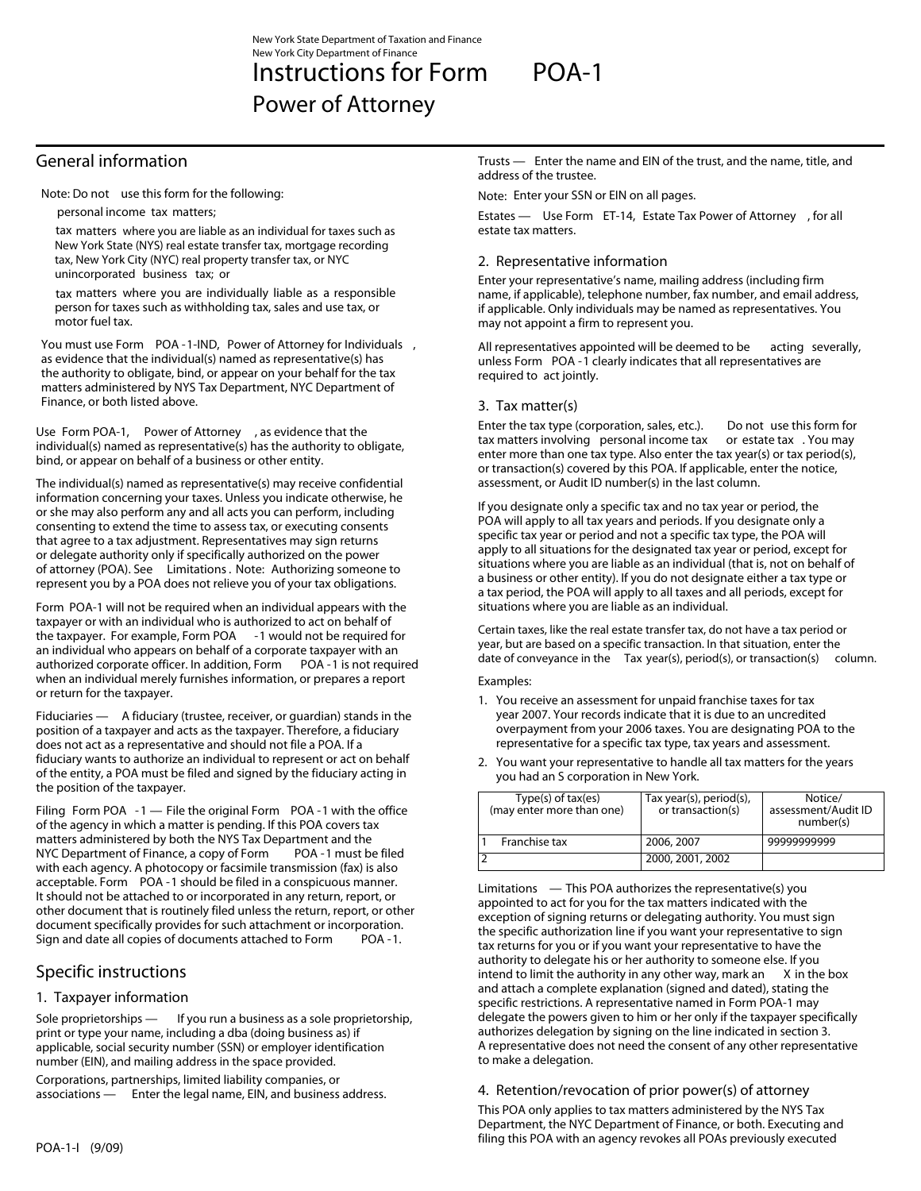# Instructions for Form POA-1

Power of Attorney

## General information

Note: Do not use this form for the following:

personal income tax matters;

tax matters where you are liable as an individual for taxes such as New York State (NYS) real estate transfer tax, mortgage recording tax, New York City (NYC) real property transfer tax, or NYC unincorporated business tax; or

tax matters where you are individually liable as a responsible person for taxes such as withholding tax, sales and use tax, or motor fuel tax.

You must use Form POA -1-IND, Power of Attorney for Individuals , as evidence that the individual(s) named as representative(s) has the authority to obligate, bind, or appear on your behalf for the tax matters administered by NYS Tax Department, NYC Department of Finance, or both listed above.

Use Form POA-1, Power of Attorney , as evidence that the individual(s) named as representative(s) has the authority to obligate, bind, or appear on behalf of a business or other entity.

The individual(s) named as representative(s) may receive confidential information concerning your taxes. Unless you indicate otherwise, he or she may also perform any and all acts you can perform, including consenting to extend the time to assess tax, or executing consents that agree to a tax adjustment. Representatives may sign returns or delegate authority only if specifically authorized on the power of attorney (POA). See Limitations. Note: Authorizing someone to represent you by a POA does not relieve you of your tax obligations.

Form POA-1 will not be required when an individual appears with the taxpayer or with an individual who is authorized to act on behalf of the taxpayer. For example, Form POA - 1 would not be required for an individual who appears on behalf of a corporate taxpayer with an authorized corporate officer. In addition, Form POA -1 is not required when an individual merely furnishes information, or prepares a report or return for the taxpayer.

Fiduciaries — A fiduciary (trustee, receiver, or guardian) stands in the position of a taxpayer and acts as the taxpayer. Therefore, a fiduciary does not act as a representative and should not file a POA. If a fiduciary wants to authorize an individual to represent or act on behalf of the entity, a POA must be filed and signed by the fiduciary acting in the position of the taxpayer.

Filing Form POA -1 — File the original Form POA -1 with the office of the agency in which a matter is pending. If this POA covers tax matters administered by both the NYS Tax Department and the NYC Department of Finance, a copy of Form POA -1 must be filed with each agency. A photocopy or facsimile transmission (fax) is also acceptable. Form POA -1 should be filed in a conspicuous manner. It should not be attached to or incorporated in any return, report, or other document that is routinely filed unless the return, report, or other document specifically provides for such attachment or incorporation. Sign and date all copies of documents attached to Form POA -1.

## Specific instructions

## 1. Taxpayer information

Sole proprietorships — If you run a business as a sole proprietorship, print or type your name, including a dba (doing business as) if applicable, social security number (SSN) or employer identification number (EIN), and mailing address in the space provided.

Corporations, partnerships, limited liability companies, or associations — Enter the legal name, EIN, and business address.

#### Trusts — Enter the name and EIN of the trust, and the name, title, and address of the trustee.

Note: Enter your SSN or EIN on all pages.

Estates — Use Form ET-14, Estate Tax Power of Attorney , for all estate tax matters.

## 2. Representative information

Enter your representative's name, mailing address (including firm name, if applicable), telephone number, fax number, and email address, if applicable. Only individuals may be named as representatives. You may not appoint a firm to represent you.

All representatives appointed will be deemed to be acting severally, unless Form POA -1 clearly indicates that all representatives are required to act jointly.

## 3. Tax matter(s)

Enter the tax type (corporation, sales, etc.). Do not use this form for tax matters involving personal income tax or estate tax . You may enter more than one tax type. Also enter the tax year(s) or tax period(s), or transaction(s) covered by this POA. If applicable, enter the notice, assessment, or Audit ID number(s) in the last column.

If you designate only a specific tax and no tax year or period, the POA will apply to all tax years and periods. If you designate only a specific tax year or period and not a specific tax type, the POA will apply to all situations for the designated tax year or period, except for situations where you are liable as an individual (that is, not on behalf of a business or other entity). If you do not designate either a tax type or a tax period, the POA will apply to all taxes and all periods, except for situations where you are liable as an individual.

Certain taxes, like the real estate transfer tax, do not have a tax period or year, but are based on a specific transaction. In that situation, enter the date of conveyance in the Tax year(s), period(s), or transaction(s) column.

#### Examples:

- 1. You receive an assessment for unpaid franchise taxes for tax year 2007. Your records indicate that it is due to an uncredited overpayment from your 2006 taxes. You are designating POA to the representative for a specific tax type, tax years and assessment.
- 2. You want your representative to handle all tax matters for the years you had an S corporation in New York.

| Type(s) of tax(es)<br>(may enter more than one) | Tax year(s), period(s),<br>or transaction(s) | Notice/<br>assessment/Audit ID<br>number(s) |
|-------------------------------------------------|----------------------------------------------|---------------------------------------------|
| Franchise tax                                   | 2006, 2007                                   | 9999999999                                  |
|                                                 | 2000, 2001, 2002                             |                                             |

Limitations — This POA authorizes the representative(s) you appointed to act for you for the tax matters indicated with the exception of signing returns or delegating authority. You must sign the specific authorization line if you want your representative to sign tax returns for you or if you want your representative to have the authority to delegate his or her authority to someone else. If you intend to limit the authority in any other way, mark an  $X$  in the box and attach a complete explanation (signed and dated), stating the specific restrictions. A representative named in Form POA-1 may delegate the powers given to him or her only if the taxpayer specifically authorizes delegation by signing on the line indicated in section 3. A representative does not need the consent of any other representative to make a delegation.

## 4. Retention/revocation of prior power(s) of attorney

This POA only applies to tax matters administered by the NYS Tax Department, the NYC Department of Finance, or both. Executing and filing this POA with an agency revokes all POAs previously executed